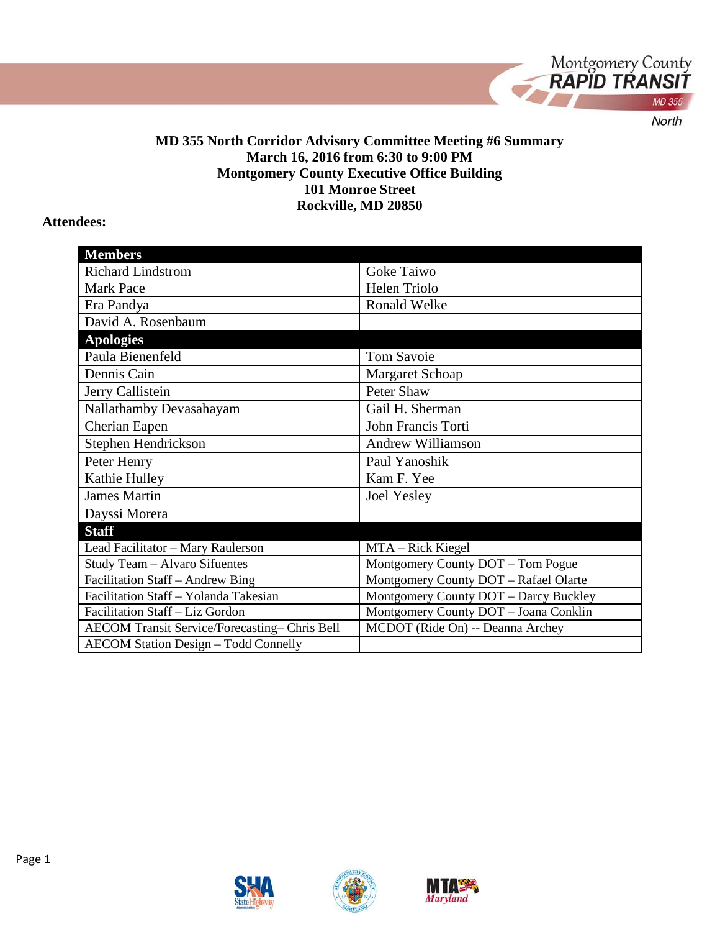

#### **MD 355 North Corridor Advisory Committee Meeting #6 Summary March 16, 2016 from 6:30 to 9:00 PM Montgomery County Executive Office Building 101 Monroe Street Rockville, MD 20850**

#### **Attendees:**

| <b>Members</b>                                |                                       |
|-----------------------------------------------|---------------------------------------|
| Richard Lindstrom                             | Goke Taiwo                            |
| <b>Mark Pace</b>                              | Helen Triolo                          |
| Era Pandya                                    | Ronald Welke                          |
| David A. Rosenbaum                            |                                       |
| <b>Apologies</b>                              |                                       |
| Paula Bienenfeld                              | <b>Tom Savoie</b>                     |
| Dennis Cain                                   | Margaret Schoap                       |
| Jerry Callistein                              | Peter Shaw                            |
| Nallathamby Devasahayam                       | Gail H. Sherman                       |
| Cherian Eapen                                 | John Francis Torti                    |
| Stephen Hendrickson                           | <b>Andrew Williamson</b>              |
| Peter Henry                                   | Paul Yanoshik                         |
| Kathie Hulley                                 | Kam F. Yee                            |
| <b>James Martin</b>                           | <b>Joel Yesley</b>                    |
| Dayssi Morera                                 |                                       |
| <b>Staff</b>                                  |                                       |
| Lead Facilitator - Mary Raulerson             | MTA - Rick Kiegel                     |
| Study Team - Alvaro Sifuentes                 | Montgomery County DOT - Tom Pogue     |
| Facilitation Staff - Andrew Bing              | Montgomery County DOT - Rafael Olarte |
| Facilitation Staff - Yolanda Takesian         | Montgomery County DOT - Darcy Buckley |
| Facilitation Staff - Liz Gordon               | Montgomery County DOT - Joana Conklin |
| AECOM Transit Service/Forecasting- Chris Bell | MCDOT (Ride On) -- Deanna Archey      |
| <b>AECOM Station Design - Todd Connelly</b>   |                                       |





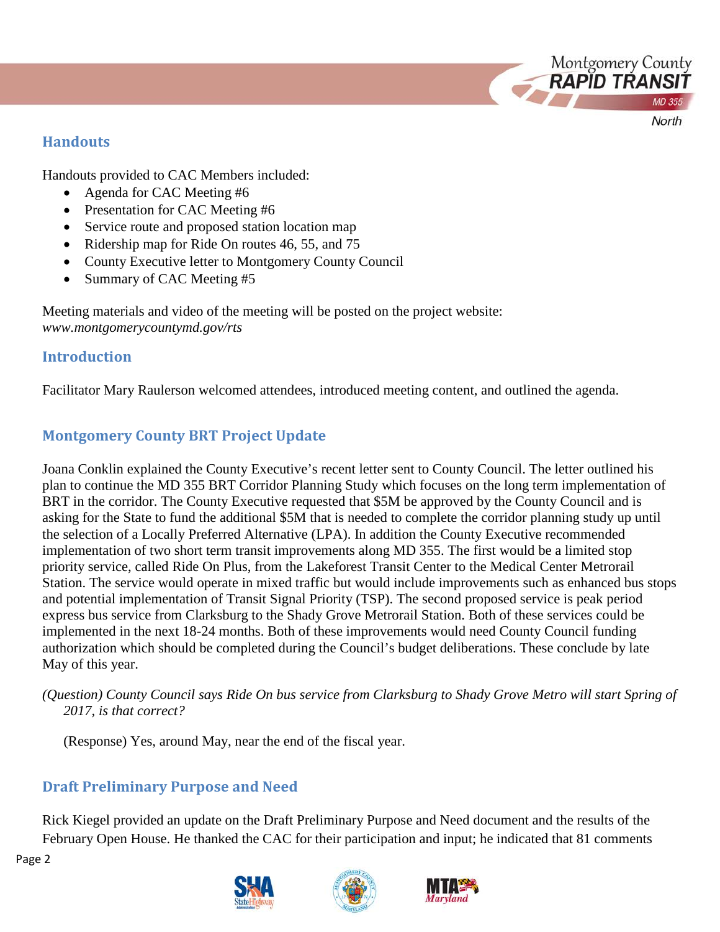### **Handouts**

Handouts provided to CAC Members included:

- Agenda for CAC Meeting #6
- Presentation for CAC Meeting #6
- Service route and proposed station location map
- Ridership map for Ride On routes 46, 55, and 75
- County Executive letter to Montgomery County Council
- Summary of CAC Meeting #5

Meeting materials and video of the meeting will be posted on the project website: *www.montgomerycountymd.gov/rts*

## **Introduction**

Facilitator Mary Raulerson welcomed attendees, introduced meeting content, and outlined the agenda.

# **Montgomery County BRT Project Update**

Joana Conklin explained the County Executive's recent letter sent to County Council. The letter outlined his plan to continue the MD 355 BRT Corridor Planning Study which focuses on the long term implementation of BRT in the corridor. The County Executive requested that \$5M be approved by the County Council and is asking for the State to fund the additional \$5M that is needed to complete the corridor planning study up until the selection of a Locally Preferred Alternative (LPA). In addition the County Executive recommended implementation of two short term transit improvements along MD 355. The first would be a limited stop priority service, called Ride On Plus, from the Lakeforest Transit Center to the Medical Center Metrorail Station. The service would operate in mixed traffic but would include improvements such as enhanced bus stops and potential implementation of Transit Signal Priority (TSP). The second proposed service is peak period express bus service from Clarksburg to the Shady Grove Metrorail Station. Both of these services could be implemented in the next 18-24 months. Both of these improvements would need County Council funding authorization which should be completed during the Council's budget deliberations. These conclude by late May of this year.

*(Question) County Council says Ride On bus service from Clarksburg to Shady Grove Metro will start Spring of 2017, is that correct?* 

(Response) Yes, around May, near the end of the fiscal year.

## **Draft Preliminary Purpose and Need**

Rick Kiegel provided an update on the Draft Preliminary Purpose and Need document and the results of the February Open House. He thanked the CAC for their participation and input; he indicated that 81 comments

Page 2







Montgomery County<br>**RAPID TRANSIT** 

North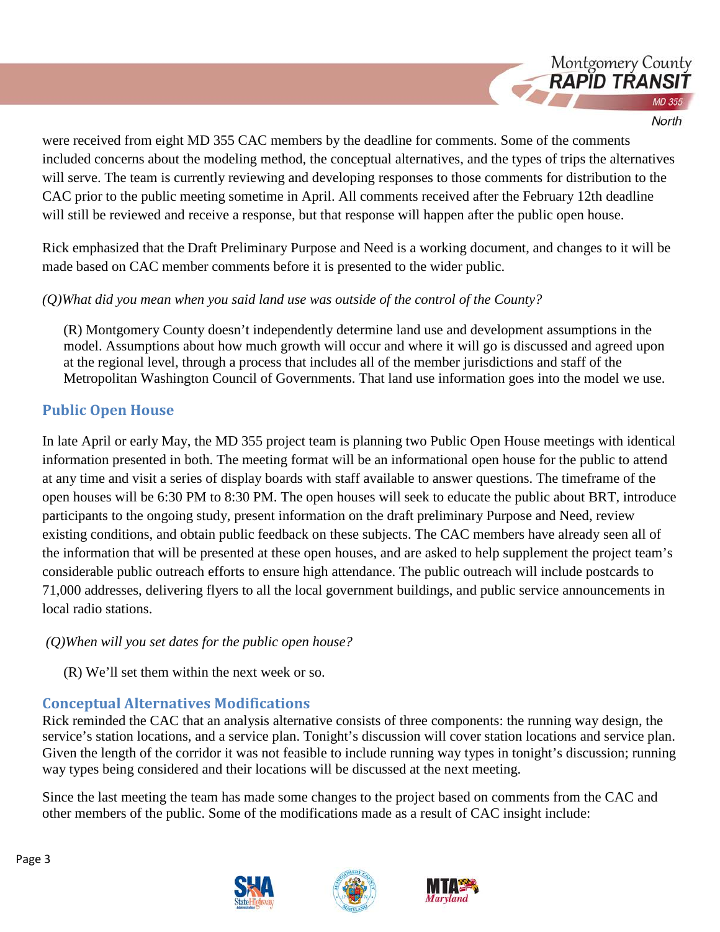

were received from eight MD 355 CAC members by the deadline for comments. Some of the comments included concerns about the modeling method, the conceptual alternatives, and the types of trips the alternatives will serve. The team is currently reviewing and developing responses to those comments for distribution to the CAC prior to the public meeting sometime in April. All comments received after the February 12th deadline will still be reviewed and receive a response, but that response will happen after the public open house.

Rick emphasized that the Draft Preliminary Purpose and Need is a working document, and changes to it will be made based on CAC member comments before it is presented to the wider public.

### *(Q)What did you mean when you said land use was outside of the control of the County?*

(R) Montgomery County doesn't independently determine land use and development assumptions in the model. Assumptions about how much growth will occur and where it will go is discussed and agreed upon at the regional level, through a process that includes all of the member jurisdictions and staff of the Metropolitan Washington Council of Governments. That land use information goes into the model we use.

## **Public Open House**

In late April or early May, the MD 355 project team is planning two Public Open House meetings with identical information presented in both. The meeting format will be an informational open house for the public to attend at any time and visit a series of display boards with staff available to answer questions. The timeframe of the open houses will be 6:30 PM to 8:30 PM. The open houses will seek to educate the public about BRT, introduce participants to the ongoing study, present information on the draft preliminary Purpose and Need, review existing conditions, and obtain public feedback on these subjects. The CAC members have already seen all of the information that will be presented at these open houses, and are asked to help supplement the project team's considerable public outreach efforts to ensure high attendance. The public outreach will include postcards to 71,000 addresses, delivering flyers to all the local government buildings, and public service announcements in local radio stations.

### *(Q)When will you set dates for the public open house?*

(R) We'll set them within the next week or so.

## **Conceptual Alternatives Modifications**

Rick reminded the CAC that an analysis alternative consists of three components: the running way design, the service's station locations, and a service plan. Tonight's discussion will cover station locations and service plan. Given the length of the corridor it was not feasible to include running way types in tonight's discussion; running way types being considered and their locations will be discussed at the next meeting.

Since the last meeting the team has made some changes to the project based on comments from the CAC and other members of the public. Some of the modifications made as a result of CAC insight include:







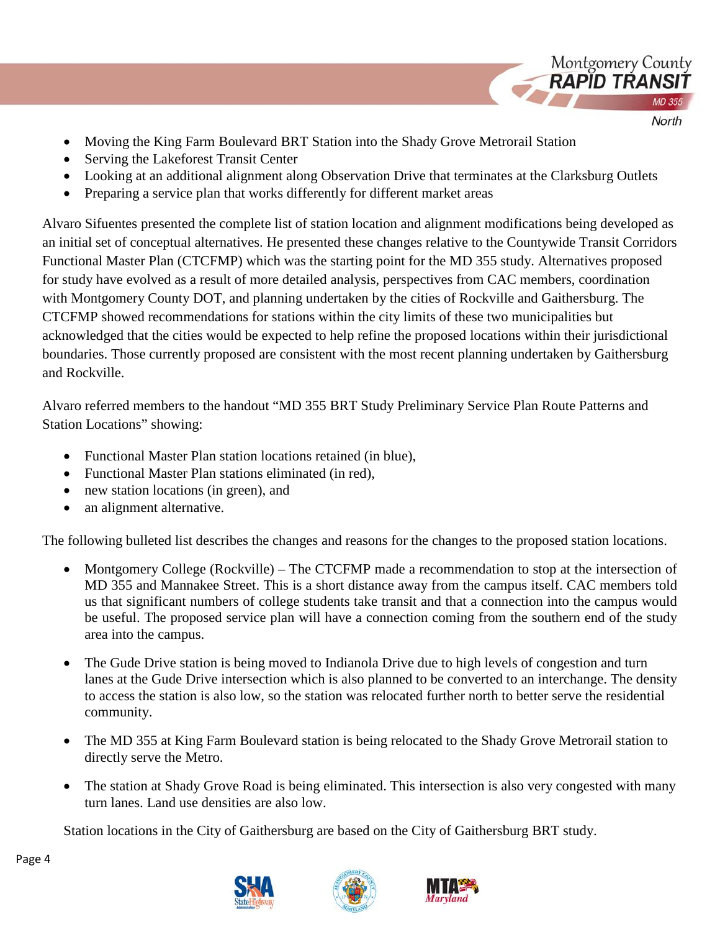

- North
- Moving the King Farm Boulevard BRT Station into the Shady Grove Metrorail Station
- Serving the Lakeforest Transit Center
- Looking at an additional alignment along Observation Drive that terminates at the Clarksburg Outlets
- Preparing a service plan that works differently for different market areas

Alvaro Sifuentes presented the complete list of station location and alignment modifications being developed as an initial set of conceptual alternatives. He presented these changes relative to the Countywide Transit Corridors Functional Master Plan (CTCFMP) which was the starting point for the MD 355 study. Alternatives proposed for study have evolved as a result of more detailed analysis, perspectives from CAC members, coordination with Montgomery County DOT, and planning undertaken by the cities of Rockville and Gaithersburg. The CTCFMP showed recommendations for stations within the city limits of these two municipalities but acknowledged that the cities would be expected to help refine the proposed locations within their jurisdictional boundaries. Those currently proposed are consistent with the most recent planning undertaken by Gaithersburg and Rockville.

Alvaro referred members to the handout "MD 355 BRT Study Preliminary Service Plan Route Patterns and Station Locations" showing:

- Functional Master Plan station locations retained (in blue),
- Functional Master Plan stations eliminated (in red),
- new station locations (in green), and
- an alignment alternative.

The following bulleted list describes the changes and reasons for the changes to the proposed station locations.

- Montgomery College (Rockville) The CTCFMP made a recommendation to stop at the intersection of MD 355 and Mannakee Street. This is a short distance away from the campus itself. CAC members told us that significant numbers of college students take transit and that a connection into the campus would be useful. The proposed service plan will have a connection coming from the southern end of the study area into the campus.
- The Gude Drive station is being moved to Indianola Drive due to high levels of congestion and turn lanes at the Gude Drive intersection which is also planned to be converted to an interchange. The density to access the station is also low, so the station was relocated further north to better serve the residential community.
- The MD 355 at King Farm Boulevard station is being relocated to the Shady Grove Metrorail station to directly serve the Metro.
- The station at Shady Grove Road is being eliminated. This intersection is also very congested with many turn lanes. Land use densities are also low.

Station locations in the City of Gaithersburg are based on the City of Gaithersburg BRT study.





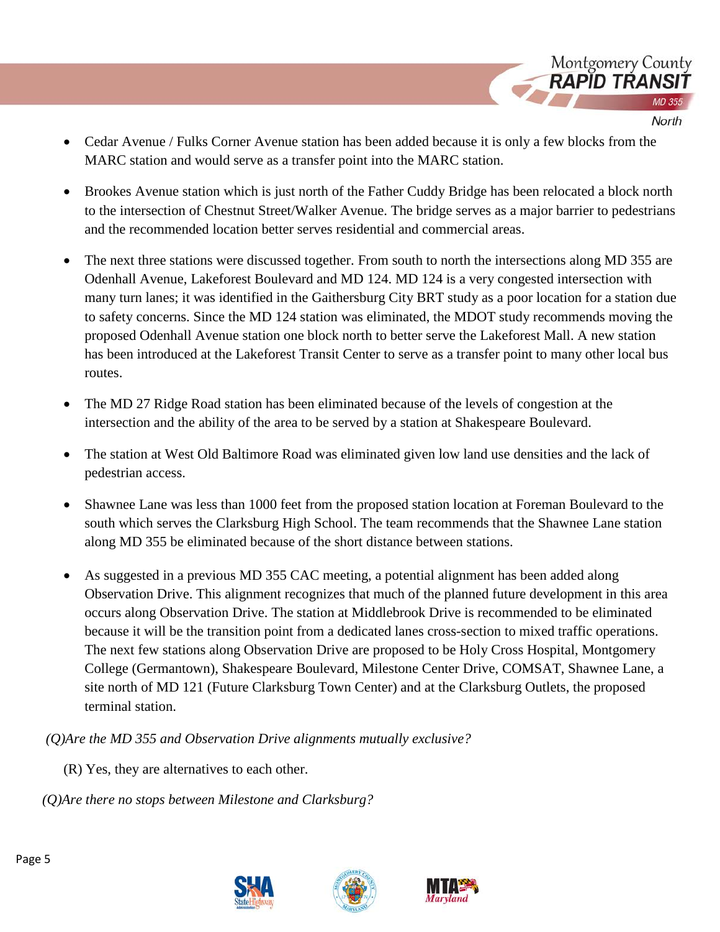

- Cedar Avenue / Fulks Corner Avenue station has been added because it is only a few blocks from the MARC station and would serve as a transfer point into the MARC station.
- Brookes Avenue station which is just north of the Father Cuddy Bridge has been relocated a block north to the intersection of Chestnut Street/Walker Avenue. The bridge serves as a major barrier to pedestrians and the recommended location better serves residential and commercial areas.
- The next three stations were discussed together. From south to north the intersections along MD 355 are Odenhall Avenue, Lakeforest Boulevard and MD 124. MD 124 is a very congested intersection with many turn lanes; it was identified in the Gaithersburg City BRT study as a poor location for a station due to safety concerns. Since the MD 124 station was eliminated, the MDOT study recommends moving the proposed Odenhall Avenue station one block north to better serve the Lakeforest Mall. A new station has been introduced at the Lakeforest Transit Center to serve as a transfer point to many other local bus routes.
- The MD 27 Ridge Road station has been eliminated because of the levels of congestion at the intersection and the ability of the area to be served by a station at Shakespeare Boulevard.
- The station at West Old Baltimore Road was eliminated given low land use densities and the lack of pedestrian access.
- Shawnee Lane was less than 1000 feet from the proposed station location at Foreman Boulevard to the south which serves the Clarksburg High School. The team recommends that the Shawnee Lane station along MD 355 be eliminated because of the short distance between stations.
- As suggested in a previous MD 355 CAC meeting, a potential alignment has been added along Observation Drive. This alignment recognizes that much of the planned future development in this area occurs along Observation Drive. The station at Middlebrook Drive is recommended to be eliminated because it will be the transition point from a dedicated lanes cross-section to mixed traffic operations. The next few stations along Observation Drive are proposed to be Holy Cross Hospital, Montgomery College (Germantown), Shakespeare Boulevard, Milestone Center Drive, COMSAT, Shawnee Lane, a site north of MD 121 (Future Clarksburg Town Center) and at the Clarksburg Outlets, the proposed terminal station.

*(Q)Are the MD 355 and Observation Drive alignments mutually exclusive?*

- (R) Yes, they are alternatives to each other.
- *(Q)Are there no stops between Milestone and Clarksburg?*



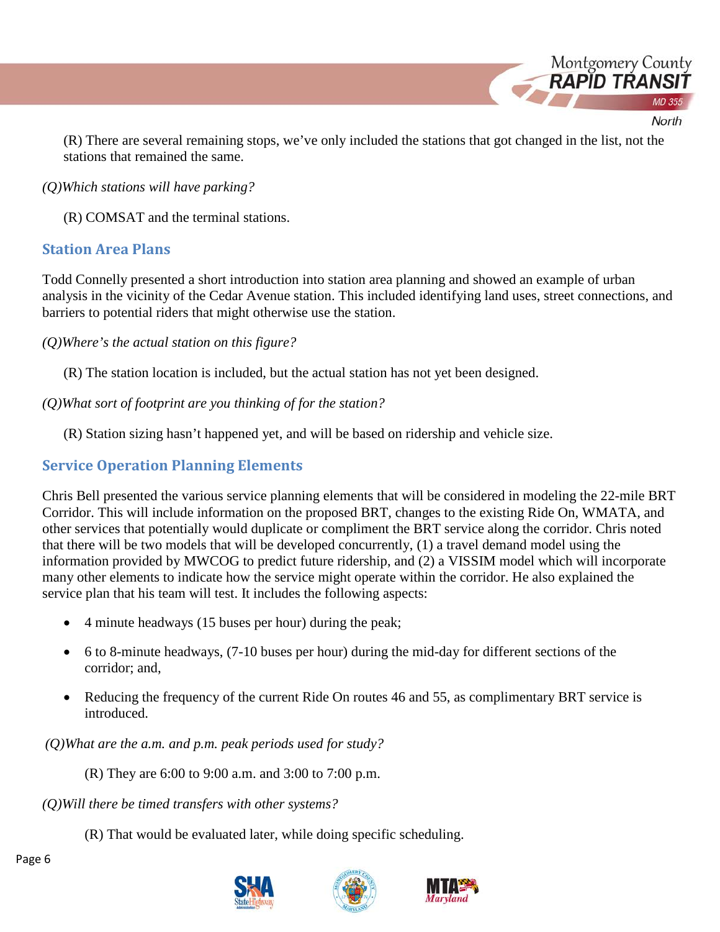

(R) There are several remaining stops, we've only included the stations that got changed in the list, not the stations that remained the same.

#### *(Q)Which stations will have parking?*

(R) COMSAT and the terminal stations.

### **Station Area Plans**

Todd Connelly presented a short introduction into station area planning and showed an example of urban analysis in the vicinity of the Cedar Avenue station. This included identifying land uses, street connections, and barriers to potential riders that might otherwise use the station.

*(Q)Where's the actual station on this figure?*

(R) The station location is included, but the actual station has not yet been designed.

### *(Q)What sort of footprint are you thinking of for the station?*

(R) Station sizing hasn't happened yet, and will be based on ridership and vehicle size.

## **Service Operation Planning Elements**

Chris Bell presented the various service planning elements that will be considered in modeling the 22-mile BRT Corridor. This will include information on the proposed BRT, changes to the existing Ride On, WMATA, and other services that potentially would duplicate or compliment the BRT service along the corridor. Chris noted that there will be two models that will be developed concurrently, (1) a travel demand model using the information provided by MWCOG to predict future ridership, and (2) a VISSIM model which will incorporate many other elements to indicate how the service might operate within the corridor. He also explained the service plan that his team will test. It includes the following aspects:

- 4 minute headways (15 buses per hour) during the peak;
- 6 to 8-minute headways, (7-10 buses per hour) during the mid-day for different sections of the corridor; and,
- Reducing the frequency of the current Ride On routes 46 and 55, as complimentary BRT service is introduced.

*(Q)What are the a.m. and p.m. peak periods used for study?*

(R) They are 6:00 to 9:00 a.m. and 3:00 to 7:00 p.m.

*(Q)Will there be timed transfers with other systems?*

(R) That would be evaluated later, while doing specific scheduling.





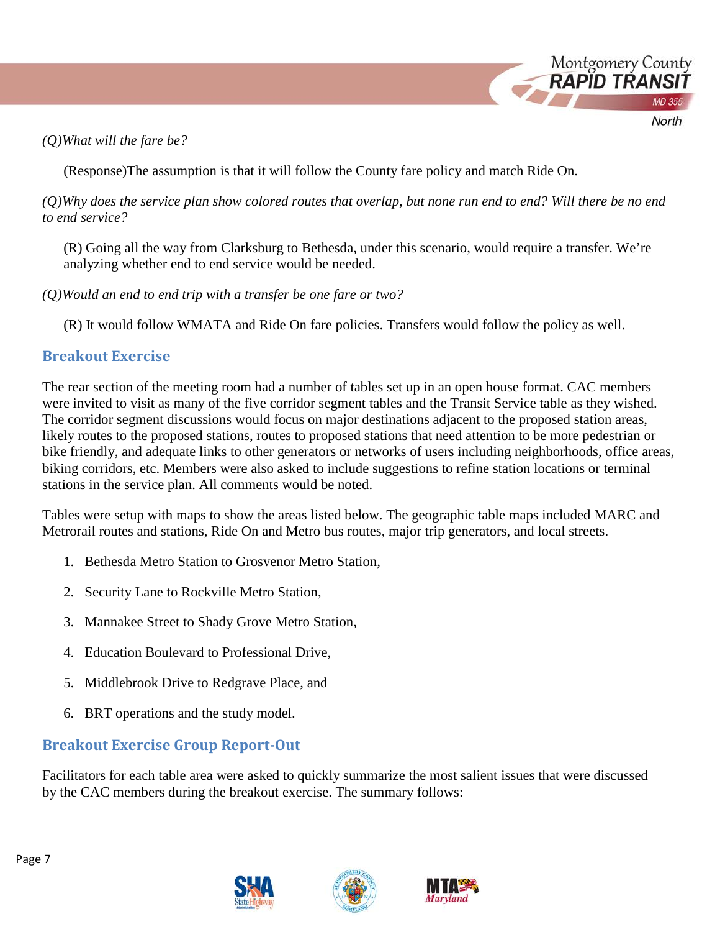*(Q)What will the fare be?*

(Response)The assumption is that it will follow the County fare policy and match Ride On.

*(Q)Why does the service plan show colored routes that overlap, but none run end to end? Will there be no end to end service?*

Montgomery County **RAPID TRANS** 

North

(R) Going all the way from Clarksburg to Bethesda, under this scenario, would require a transfer. We're analyzing whether end to end service would be needed.

*(Q)Would an end to end trip with a transfer be one fare or two?*

(R) It would follow WMATA and Ride On fare policies. Transfers would follow the policy as well.

## **Breakout Exercise**

The rear section of the meeting room had a number of tables set up in an open house format. CAC members were invited to visit as many of the five corridor segment tables and the Transit Service table as they wished. The corridor segment discussions would focus on major destinations adjacent to the proposed station areas, likely routes to the proposed stations, routes to proposed stations that need attention to be more pedestrian or bike friendly, and adequate links to other generators or networks of users including neighborhoods, office areas, biking corridors, etc. Members were also asked to include suggestions to refine station locations or terminal stations in the service plan. All comments would be noted.

Tables were setup with maps to show the areas listed below. The geographic table maps included MARC and Metrorail routes and stations, Ride On and Metro bus routes, major trip generators, and local streets.

- 1. Bethesda Metro Station to Grosvenor Metro Station,
- 2. Security Lane to Rockville Metro Station,
- 3. Mannakee Street to Shady Grove Metro Station,
- 4. Education Boulevard to Professional Drive,
- 5. Middlebrook Drive to Redgrave Place, and
- 6. BRT operations and the study model.

## **Breakout Exercise Group Report-Out**

Facilitators for each table area were asked to quickly summarize the most salient issues that were discussed by the CAC members during the breakout exercise. The summary follows:





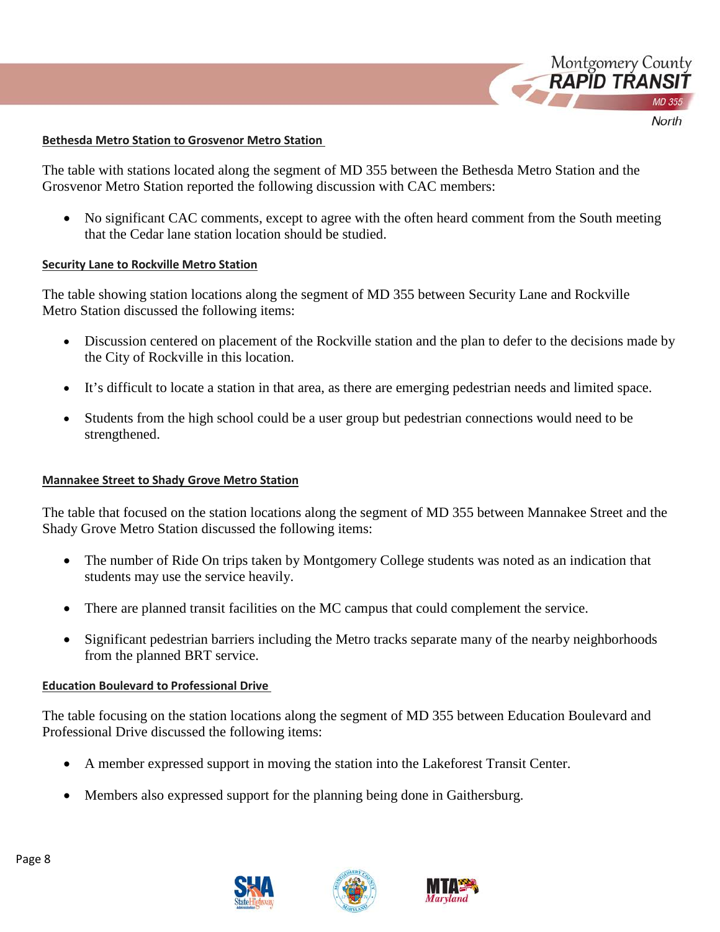

#### **Bethesda Metro Station to Grosvenor Metro Station**

The table with stations located along the segment of MD 355 between the Bethesda Metro Station and the Grosvenor Metro Station reported the following discussion with CAC members:

• No significant CAC comments, except to agree with the often heard comment from the South meeting that the Cedar lane station location should be studied.

#### **Security Lane to Rockville Metro Station**

The table showing station locations along the segment of MD 355 between Security Lane and Rockville Metro Station discussed the following items:

- Discussion centered on placement of the Rockville station and the plan to defer to the decisions made by the City of Rockville in this location.
- It's difficult to locate a station in that area, as there are emerging pedestrian needs and limited space.
- Students from the high school could be a user group but pedestrian connections would need to be strengthened.

#### **Mannakee Street to Shady Grove Metro Station**

The table that focused on the station locations along the segment of MD 355 between Mannakee Street and the Shady Grove Metro Station discussed the following items:

- The number of Ride On trips taken by Montgomery College students was noted as an indication that students may use the service heavily.
- There are planned transit facilities on the MC campus that could complement the service.
- Significant pedestrian barriers including the Metro tracks separate many of the nearby neighborhoods from the planned BRT service.

#### **Education Boulevard to Professional Drive**

The table focusing on the station locations along the segment of MD 355 between Education Boulevard and Professional Drive discussed the following items:

- A member expressed support in moving the station into the Lakeforest Transit Center.
- Members also expressed support for the planning being done in Gaithersburg.